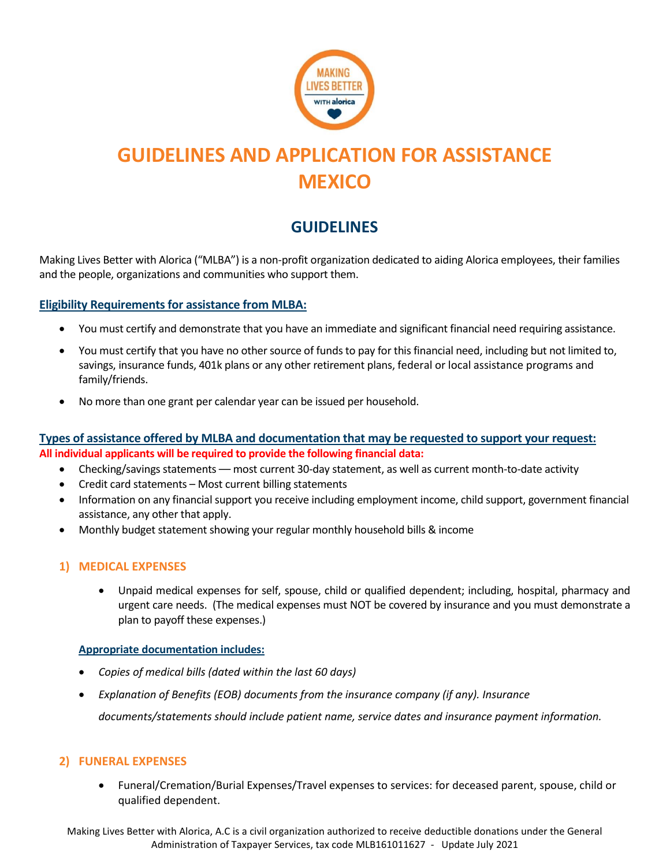

# **GUIDELINES AND APPLICATION FOR ASSISTANCE MEXICO**

# **GUIDELINES**

Making Lives Better with Alorica ("MLBA") is a non-profit organization dedicated to aiding Alorica employees, their families and the people, organizations and communities who support them.

#### **Eligibility Requirements for assistance from MLBA:**

- You must certify and demonstrate that you have an immediate and significant financial need requiring assistance.
- You must certify that you have no other source of funds to pay for this financial need, including but not limited to, savings, insurance funds, 401k plans or any other retirement plans, federal or local assistance programs and family/friends.
- No more than one grant per calendar year can be issued per household.

#### **Types of assistance offered by MLBA and documentation that may be requested to support your request: All individual applicants will be required to provide the following financial data:**

- Checking/savings statements most current 30-day statement, as well as current month-to-date activity
- Credit card statements Most current billing statements
- Information on any financial support you receive including employment income, child support, government financial assistance, any other that apply.
- Monthly budget statement showing your regular monthly household bills & income

#### **1) MEDICAL EXPENSES**

• Unpaid medical expenses for self, spouse, child or qualified dependent; including, hospital, pharmacy and urgent care needs. (The medical expenses must NOT be covered by insurance and you must demonstrate a plan to payoff these expenses.)

#### **Appropriate documentation includes:**

- *Copies of medical bills (dated within the last 60 days)*
- *Explanation of Benefits (EOB) documents from the insurance company (if any). Insurance documents/statements should include patient name, service dates and insurance payment information.*

#### **2) FUNERAL EXPENSES**

• Funeral/Cremation/Burial Expenses/Travel expenses to services: for deceased parent, spouse, child or qualified dependent.

Making Lives Better with Alorica, A.C is a civil organization authorized to receive deductible donations under the General Administration of Taxpayer Services, tax code MLB161011627 - Update July 2021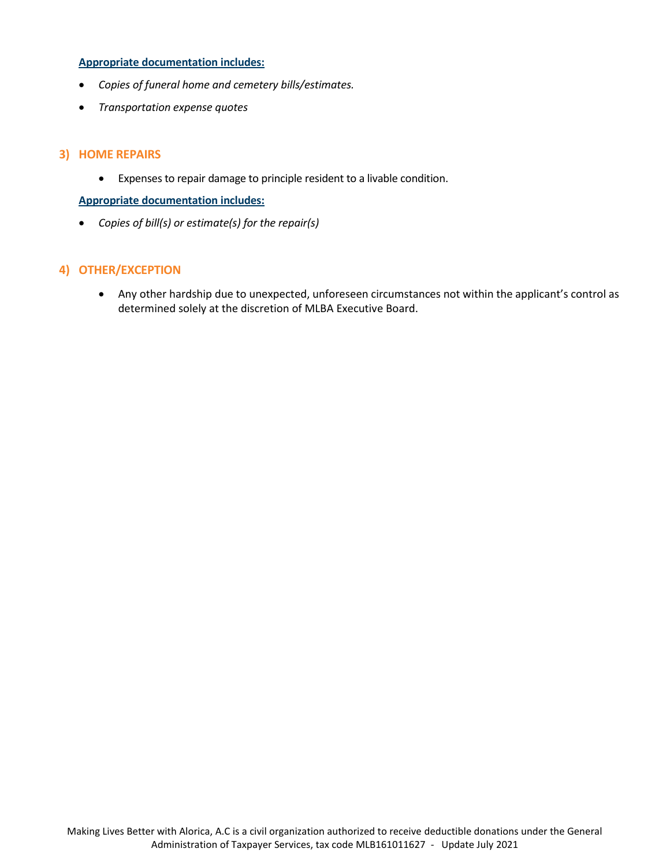#### **Appropriate documentation includes:**

- *Copies of funeral home and cemetery bills/estimates.*
- *Transportation expense quotes*

#### **3) HOME REPAIRS**

• Expenses to repair damage to principle resident to a livable condition.

#### **Appropriate documentation includes:**

• *Copies of bill(s) or estimate(s) for the repair(s)*

#### **4) OTHER/EXCEPTION**

• Any other hardship due to unexpected, unforeseen circumstances not within the applicant's control as determined solely at the discretion of MLBA Executive Board.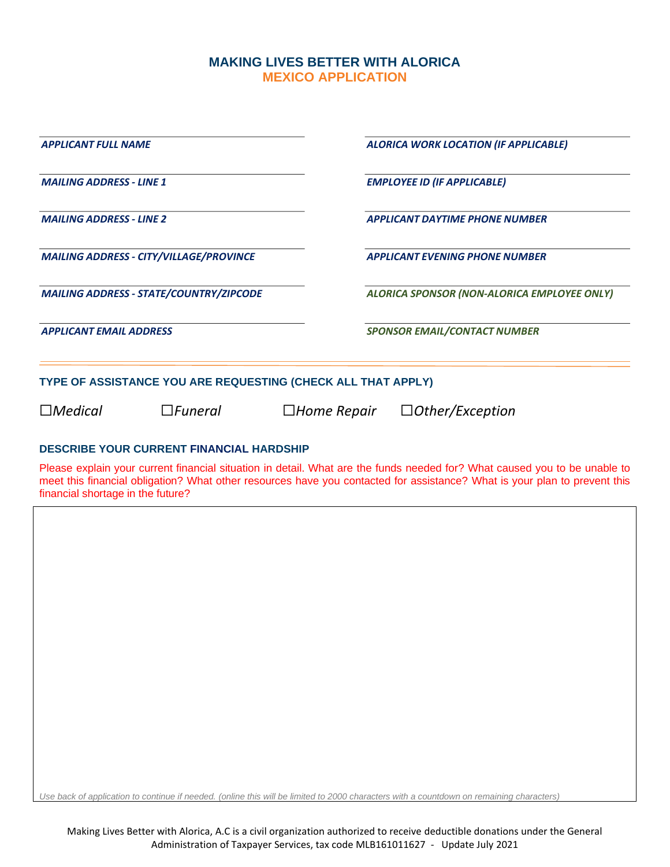### **MAKING LIVES BETTER WITH ALORICA MEXICO APPLICATION**

| <b>APPLICANT FULL NAME</b>                                   | ALORICA WORK LOCATION (IF APPLICABLE)           |  |  |
|--------------------------------------------------------------|-------------------------------------------------|--|--|
| <b>MAILING ADDRESS - LINE 1</b>                              | <b>EMPLOYEE ID (IF APPLICABLE)</b>              |  |  |
| <b>MAILING ADDRESS - LINE 2</b>                              | <b>APPLICANT DAYTIME PHONE NUMBER</b>           |  |  |
| <b>MAILING ADDRESS - CITY/VILLAGE/PROVINCE</b>               | <b>APPLICANT EVENING PHONE NUMBER</b>           |  |  |
| <b>MAILING ADDRESS - STATE/COUNTRY/ZIPCODE</b>               | ALORICA SPONSOR (NON-ALORICA EMPLOYEE ONLY)     |  |  |
| <b>APPLICANT EMAIL ADDRESS</b>                               | <b>SPONSOR EMAIL/CONTACT NUMBER</b>             |  |  |
| TYPE OF ASSISTANCE YOU ARE REQUESTING (CHECK ALL THAT APPLY) |                                                 |  |  |
| $\Box$ Medical<br>$\Box$ <i>Funeral</i>                      | $\Box$ Other/Exception<br>$\square$ Home Repair |  |  |

#### **DESCRIBE YOUR CURRENT FINANCIAL HARDSHIP**

Please explain your current financial situation in detail. What are the funds needed for? What caused you to be unable to meet this financial obligation? What other resources have you contacted for assistance? What is your plan to prevent this financial shortage in the future?

*Use back of application to continue if needed. (online this will be limited to 2000 characters with a countdown on remaining characters)*